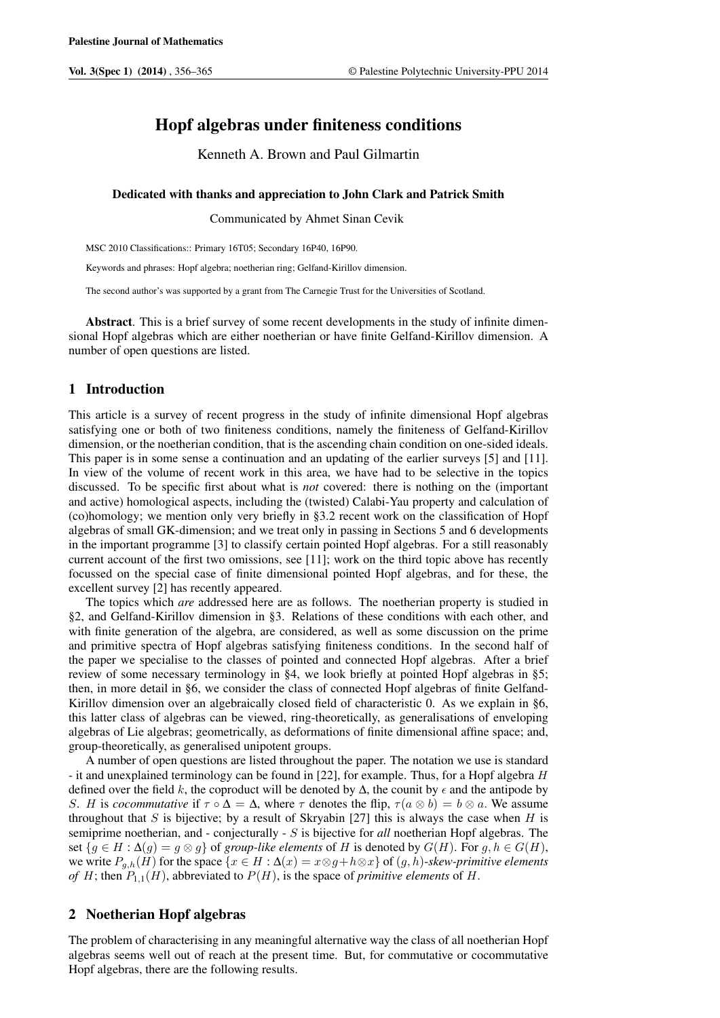# Hopf algebras under finiteness conditions

Kenneth A. Brown and Paul Gilmartin

### Dedicated with thanks and appreciation to John Clark and Patrick Smith

Communicated by Ahmet Sinan Cevik

MSC 2010 Classifications:: Primary 16T05; Secondary 16P40, 16P90.

Keywords and phrases: Hopf algebra; noetherian ring; Gelfand-Kirillov dimension.

The second author's was supported by a grant from The Carnegie Trust for the Universities of Scotland.

Abstract. This is a brief survey of some recent developments in the study of infinite dimensional Hopf algebras which are either noetherian or have finite Gelfand-Kirillov dimension. A number of open questions are listed.

# 1 Introduction

This article is a survey of recent progress in the study of infinite dimensional Hopf algebras satisfying one or both of two finiteness conditions, namely the finiteness of Gelfand-Kirillov dimension, or the noetherian condition, that is the ascending chain condition on one-sided ideals. This paper is in some sense a continuation and an updating of the earlier surveys [5] and [11]. In view of the volume of recent work in this area, we have had to be selective in the topics discussed. To be specific first about what is *not* covered: there is nothing on the (important and active) homological aspects, including the (twisted) Calabi-Yau property and calculation of (co)homology; we mention only very briefly in §3.2 recent work on the classification of Hopf algebras of small GK-dimension; and we treat only in passing in Sections 5 and 6 developments in the important programme [3] to classify certain pointed Hopf algebras. For a still reasonably current account of the first two omissions, see [11]; work on the third topic above has recently focussed on the special case of finite dimensional pointed Hopf algebras, and for these, the excellent survey [2] has recently appeared.

The topics which *are* addressed here are as follows. The noetherian property is studied in §2, and Gelfand-Kirillov dimension in §3. Relations of these conditions with each other, and with finite generation of the algebra, are considered, as well as some discussion on the prime and primitive spectra of Hopf algebras satisfying finiteness conditions. In the second half of the paper we specialise to the classes of pointed and connected Hopf algebras. After a brief review of some necessary terminology in §4, we look briefly at pointed Hopf algebras in §5; then, in more detail in §6, we consider the class of connected Hopf algebras of finite Gelfand-Kirillov dimension over an algebraically closed field of characteristic 0. As we explain in §6, this latter class of algebras can be viewed, ring-theoretically, as generalisations of enveloping algebras of Lie algebras; geometrically, as deformations of finite dimensional affine space; and, group-theoretically, as generalised unipotent groups.

A number of open questions are listed throughout the paper. The notation we use is standard - it and unexplained terminology can be found in [22], for example. Thus, for a Hopf algebra  $H$ defined over the field k, the coproduct will be denoted by  $\Delta$ , the counit by  $\epsilon$  and the antipode by S. H is *cocommutative* if  $\tau \circ \Delta = \Delta$ , where  $\tau$  denotes the flip,  $\tau(a \otimes b) = b \otimes a$ . We assume throughout that S is bijective; by a result of Skryabin [27] this is always the case when H is semiprime noetherian, and - conjecturally - S is bijective for *all* noetherian Hopf algebras. The set  ${g \in H : \Delta(g) = g \otimes g}$  of *group-like elements* of H is denoted by  $G(H)$ . For  $g, h \in G(H)$ , we write  $P_{q,h}(H)$  for the space  $\{x \in H : \Delta(x) = x \otimes g + h \otimes x\}$  of  $(g,h)$ -skew-primitive elements *of*  $H$ ; then  $P_{1,1}(H)$ , abbreviated to  $P(H)$ , is the space of *primitive elements* of  $H$ .

# 2 Noetherian Hopf algebras

The problem of characterising in any meaningful alternative way the class of all noetherian Hopf algebras seems well out of reach at the present time. But, for commutative or cocommutative Hopf algebras, there are the following results.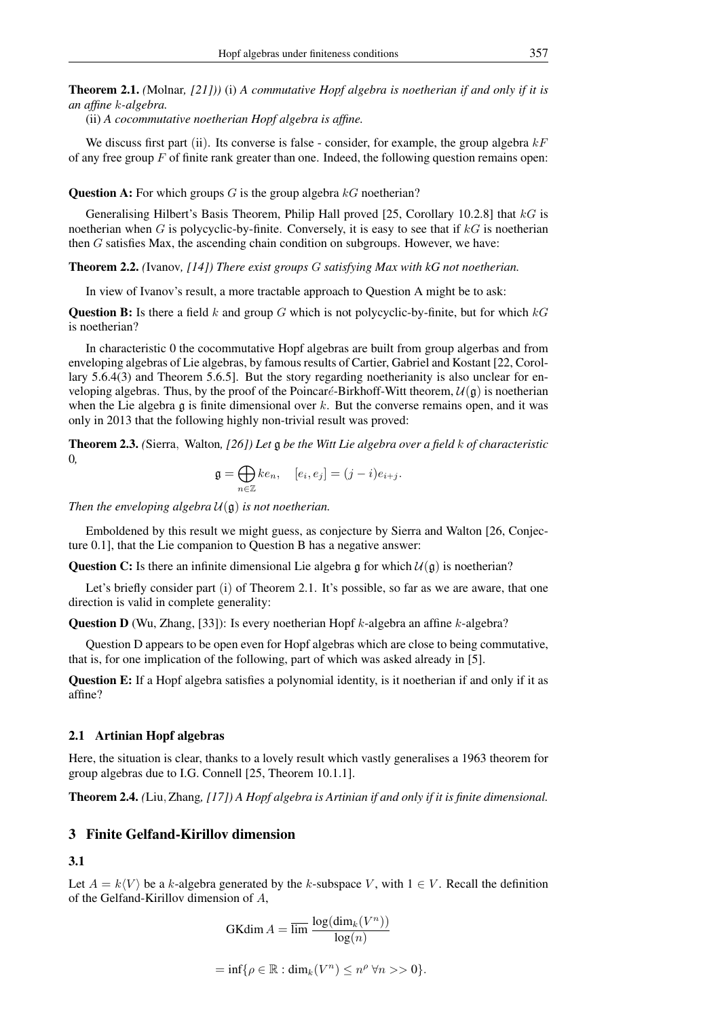Theorem 2.1. *(*Molnar*, [21]))* (i) *A commutative Hopf algebra is noetherian if and only if it is an affine* k*-algebra.*

(ii) *A cocommutative noetherian Hopf algebra is affine.*

We discuss first part (ii). Its converse is false - consider, for example, the group algebra  $k \in \mathbb{F}$ of any free group  $F$  of finite rank greater than one. Indeed, the following question remains open:

**Question A:** For which groups  $G$  is the group algebra  $kG$  noetherian?

Generalising Hilbert's Basis Theorem, Philip Hall proved  $[25, Corollary 10.2.8]$  that  $kG$  is noetherian when G is polycyclic-by-finite. Conversely, it is easy to see that if  $kG$  is noetherian then  $G$  satisfies Max, the ascending chain condition on subgroups. However, we have:

Theorem 2.2. *(*Ivanov*, [14]) There exist groups* G *satisfying Max with kG not noetherian.*

In view of Ivanov's result, a more tractable approach to Question A might be to ask:

**Question B:** Is there a field k and group G which is not polycyclic-by-finite, but for which  $kG$ is noetherian?

In characteristic 0 the cocommutative Hopf algebras are built from group algerbas and from enveloping algebras of Lie algebras, by famous results of Cartier, Gabriel and Kostant [22, Corollary 5.6.4(3) and Theorem 5.6.5]. But the story regarding noetherianity is also unclear for enveloping algebras. Thus, by the proof of the Poincaré-Birkhoff-Witt theorem,  $\mathcal{U}(\mathfrak{g})$  is noetherian when the Lie algebra g is finite dimensional over k. But the converse remains open, and it was only in 2013 that the following highly non-trivial result was proved:

Theorem 2.3. *(*Sierra, Walton*, [26]) Let* g *be the Witt Lie algebra over a field* k *of characteristic* 0*,*

$$
\mathfrak{g} = \bigoplus_{n \in \mathbb{Z}} k e_n, \quad [e_i, e_j] = (j - i) e_{i + j}.
$$

*Then the enveloping algebra*  $U(\mathfrak{g})$  *is not noetherian.* 

Emboldened by this result we might guess, as conjecture by Sierra and Walton [26, Conjecture 0.1], that the Lie companion to Question B has a negative answer:

**Question C:** Is there an infinite dimensional Lie algebra g for which  $\mathcal{U}(\mathfrak{g})$  is noetherian?

Let's briefly consider part (i) of Theorem 2.1. It's possible, so far as we are aware, that one direction is valid in complete generality:

**Question D** (Wu, Zhang, [33]): Is every noetherian Hopf  $k$ -algebra an affine  $k$ -algebra?

Question D appears to be open even for Hopf algebras which are close to being commutative, that is, for one implication of the following, part of which was asked already in [5].

Question E: If a Hopf algebra satisfies a polynomial identity, is it noetherian if and only if it as affine?

### 2.1 Artinian Hopf algebras

Here, the situation is clear, thanks to a lovely result which vastly generalises a 1963 theorem for group algebras due to I.G. Connell [25, Theorem 10.1.1].

Theorem 2.4. *(*Liu, Zhang*, [17]) A Hopf algebra is Artinian if and only if it is finite dimensional.*

# 3 Finite Gelfand-Kirillov dimension

#### 3.1

Let  $A = k\langle V \rangle$  be a k-algebra generated by the k-subspace V, with  $1 \in V$ . Recall the definition of the Gelfand-Kirillov dimension of A,

$$
GKdim A = \overline{\lim} \frac{\log(\dim_k(V^n))}{\log(n)}
$$

$$
= \inf \{ \rho \in \mathbb{R} : \dim_k(V^n) \le n^{\rho} \,\forall n >> 0 \}.
$$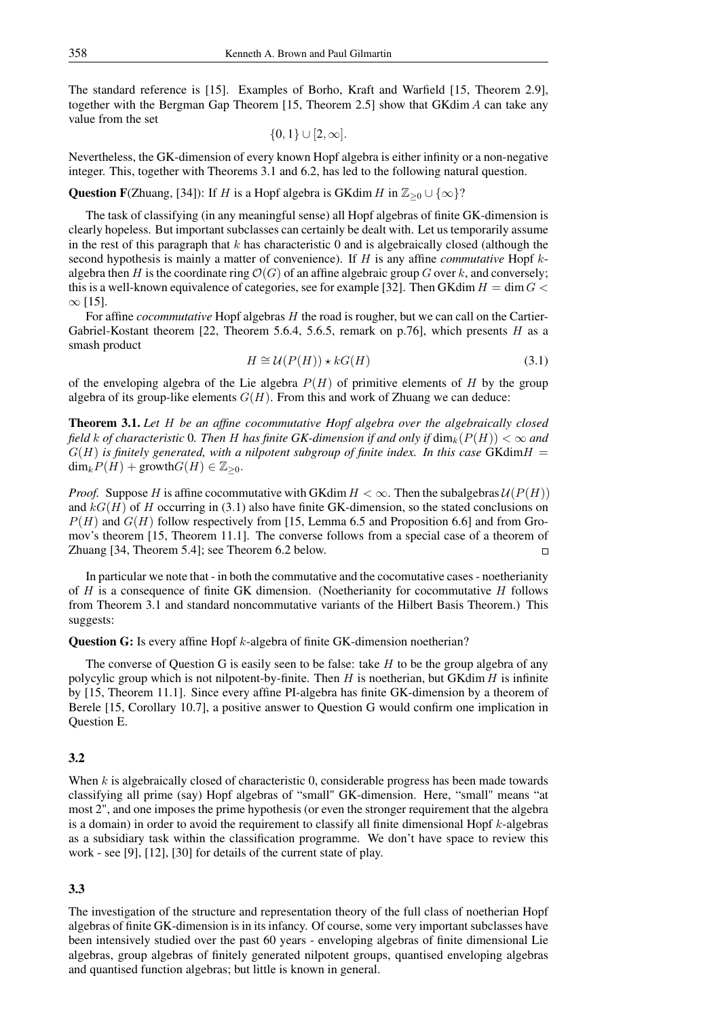The standard reference is [15]. Examples of Borho, Kraft and Warfield [15, Theorem 2.9], together with the Bergman Gap Theorem [15, Theorem 2.5] show that GKdim A can take any value from the set

$$
\{0,1\}\cup[2,\infty].
$$

Nevertheless, the GK-dimension of every known Hopf algebra is either infinity or a non-negative integer. This, together with Theorems 3.1 and 6.2, has led to the following natural question.

# **Question F**(Zhuang, [34]): If H is a Hopf algebra is GKdim H in  $\mathbb{Z}_{>0} \cup \{\infty\}$ ?

The task of classifying (in any meaningful sense) all Hopf algebras of finite GK-dimension is clearly hopeless. But important subclasses can certainly be dealt with. Let us temporarily assume in the rest of this paragraph that  $k$  has characteristic 0 and is algebraically closed (although the second hypothesis is mainly a matter of convenience). If H is any affine *commutative* Hopf kalgebra then H is the coordinate ring  $\mathcal{O}(G)$  of an affine algebraic group G over k, and conversely; this is a well-known equivalence of categories, see for example [32]. Then GKdim  $H = \dim G$  $∞$  [15].

For affine *cocommutative* Hopf algebras H the road is rougher, but we can call on the Cartier-Gabriel-Kostant theorem [22, Theorem 5.6.4, 5.6.5, remark on p.76], which presents H as a smash product

$$
H \cong \mathcal{U}(P(H)) \star kG(H) \tag{3.1}
$$

of the enveloping algebra of the Lie algebra  $P(H)$  of primitive elements of H by the group algebra of its group-like elements  $G(H)$ . From this and work of Zhuang we can deduce:

Theorem 3.1. *Let* H *be an affine cocommutative Hopf algebra over the algebraically closed field* k of characteristic 0. Then H has finite GK-dimension if and only if  $\dim_k(P(H)) < \infty$  and  $G(H)$  *is finitely generated, with a nilpotent subgroup of finite index. In this case* GKdim $H =$  $\dim_k P(H) + \text{growth} G(H) \in \mathbb{Z}_{\geq 0}.$ 

*Proof.* Suppose H is affine cocommutative with GKdim  $H < \infty$ . Then the subalgebras  $U(P(H))$ and  $kG(H)$  of H occurring in (3.1) also have finite GK-dimension, so the stated conclusions on  $P(H)$  and  $G(H)$  follow respectively from [15, Lemma 6.5 and Proposition 6.6] and from Gromov's theorem [15, Theorem 11.1]. The converse follows from a special case of a theorem of Zhuang [34, Theorem 5.4]; see Theorem 6.2 below.  $\Box$ 

In particular we note that - in both the commutative and the cocomutative cases - noetherianity of  $H$  is a consequence of finite GK dimension. (Noetherianity for cocommutative  $H$  follows from Theorem 3.1 and standard noncommutative variants of the Hilbert Basis Theorem.) This suggests:

Question G: Is every affine Hopf k-algebra of finite GK-dimension noetherian?

The converse of Question G is easily seen to be false: take  $H$  to be the group algebra of any polycylic group which is not nilpotent-by-finite. Then  $H$  is noetherian, but GKdim  $H$  is infinite by [15, Theorem 11.1]. Since every affine PI-algebra has finite GK-dimension by a theorem of Berele [15, Corollary 10.7], a positive answer to Question G would confirm one implication in Question E.

#### 3.2

When  $k$  is algebraically closed of characteristic 0, considerable progress has been made towards classifying all prime (say) Hopf algebras of "small" GK-dimension. Here, "small" means "at most 2", and one imposes the prime hypothesis (or even the stronger requirement that the algebra is a domain) in order to avoid the requirement to classify all finite dimensional Hopf k-algebras as a subsidiary task within the classification programme. We don't have space to review this work - see [9], [12], [30] for details of the current state of play.

# 3.3

The investigation of the structure and representation theory of the full class of noetherian Hopf algebras of finite GK-dimension is in its infancy. Of course, some very important subclasses have been intensively studied over the past 60 years - enveloping algebras of finite dimensional Lie algebras, group algebras of finitely generated nilpotent groups, quantised enveloping algebras and quantised function algebras; but little is known in general.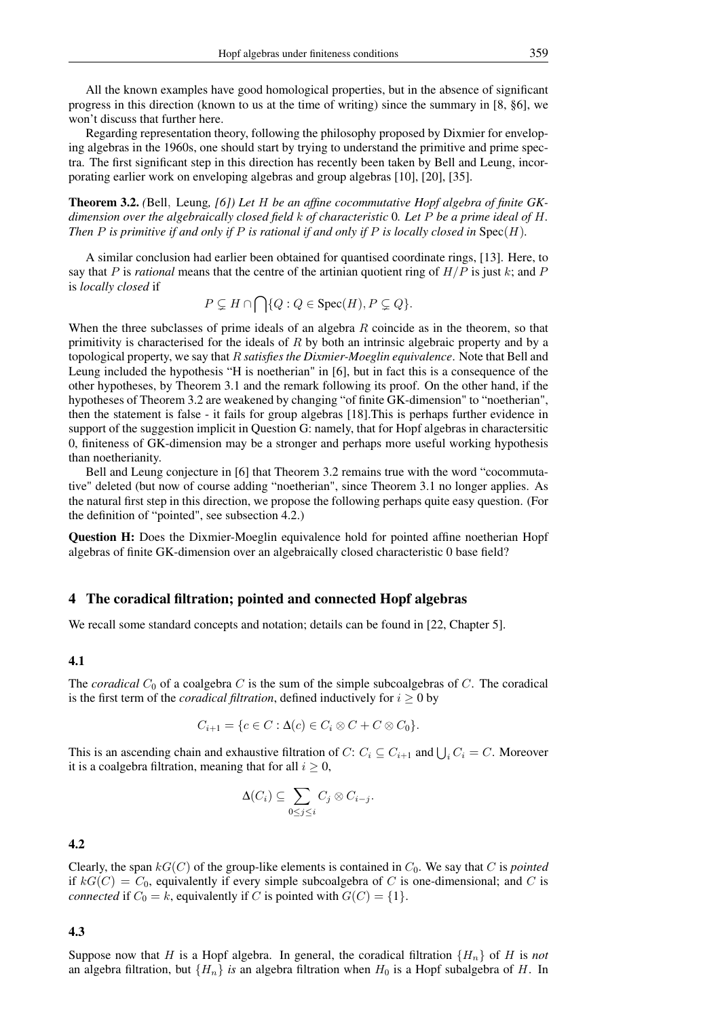All the known examples have good homological properties, but in the absence of significant progress in this direction (known to us at the time of writing) since the summary in [8, §6], we won't discuss that further here.

Regarding representation theory, following the philosophy proposed by Dixmier for enveloping algebras in the 1960s, one should start by trying to understand the primitive and prime spectra. The first significant step in this direction has recently been taken by Bell and Leung, incorporating earlier work on enveloping algebras and group algebras [10], [20], [35].

Theorem 3.2. *(*Bell, Leung*, [6]) Let* H *be an affine cocommutative Hopf algebra of finite GKdimension over the algebraically closed field* k *of characteristic* 0*. Let* P *be a prime ideal of* H*. Then* P *is primitive if and only if* P *is rational if and only if* P *is locally closed in* Spec(H)*.*

A similar conclusion had earlier been obtained for quantised coordinate rings, [13]. Here, to say that P is *rational* means that the centre of the artinian quotient ring of  $H/P$  is just k; and P is *locally closed* if

$$
P \subsetneq H \cap \bigcap \{Q : Q \in \text{Spec}(H), P \subsetneq Q\}.
$$

When the three subclasses of prime ideals of an algebra  $R$  coincide as in the theorem, so that primitivity is characterised for the ideals of  $R$  by both an intrinsic algebraic property and by a topological property, we say that R *satisfies the Dixmier-Moeglin equivalence*. Note that Bell and Leung included the hypothesis "H is noetherian" in [6], but in fact this is a consequence of the other hypotheses, by Theorem 3.1 and the remark following its proof. On the other hand, if the hypotheses of Theorem 3.2 are weakened by changing "of finite GK-dimension" to "noetherian", then the statement is false - it fails for group algebras [18].This is perhaps further evidence in support of the suggestion implicit in Question G: namely, that for Hopf algebras in charactersitic 0, finiteness of GK-dimension may be a stronger and perhaps more useful working hypothesis than noetherianity.

Bell and Leung conjecture in [6] that Theorem 3.2 remains true with the word "cocommutative" deleted (but now of course adding "noetherian", since Theorem 3.1 no longer applies. As the natural first step in this direction, we propose the following perhaps quite easy question. (For the definition of "pointed", see subsection 4.2.)

Question H: Does the Dixmier-Moeglin equivalence hold for pointed affine noetherian Hopf algebras of finite GK-dimension over an algebraically closed characteristic 0 base field?

#### 4 The coradical filtration; pointed and connected Hopf algebras

We recall some standard concepts and notation; details can be found in [22, Chapter 5].

# 4.1

The *coradical*  $C_0$  of a coalgebra C is the sum of the simple subcoalgebras of C. The coradical is the first term of the *coradical filtration*, defined inductively for  $i \geq 0$  by

$$
C_{i+1} = \{c \in C : \Delta(c) \in C_i \otimes C + C \otimes C_0\}.
$$

This is an ascending chain and exhaustive filtration of  $C: C_i \subseteq C_{i+1}$  and  $\bigcup_i C_i = C$ . Moreover it is a coalgebra filtration, meaning that for all  $i \geq 0$ ,

$$
\Delta(C_i) \subseteq \sum_{0 \le j \le i} C_j \otimes C_{i-j}.
$$

#### 4.2

Clearly, the span  $kG(C)$  of the group-like elements is contained in  $C_0$ . We say that C is *pointed* if  $kG(C) = C_0$ , equivalently if every simple subcoalgebra of C is one-dimensional; and C is *connected* if  $C_0 = k$ , equivalently if C is pointed with  $G(C) = \{1\}$ .

#### 4.3

Suppose now that H is a Hopf algebra. In general, the coradical filtration  $\{H_n\}$  of H is *not* an algebra filtration, but  $\{H_n\}$  *is* an algebra filtration when  $H_0$  is a Hopf subalgebra of H. In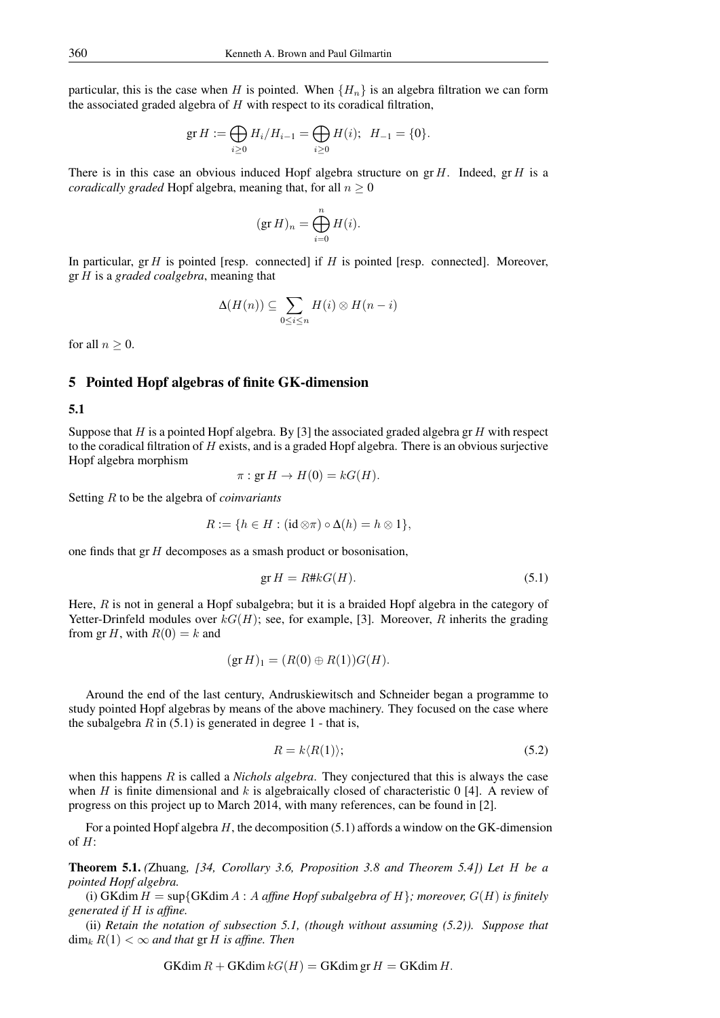particular, this is the case when H is pointed. When  ${H_n}$  is an algebra filtration we can form the associated graded algebra of H with respect to its coradical filtration,

gr 
$$
H := \bigoplus_{i \geq 0} H_i/H_{i-1} = \bigoplus_{i \geq 0} H(i); H_{-1} = \{0\}.
$$

There is in this case an obvious induced Hopf algebra structure on  $gr H$ . Indeed,  $gr H$  is a *coradically graded* Hopf algebra, meaning that, for all  $n \geq 0$ 

$$
(\operatorname{gr} H)_n = \bigoplus_{i=0}^n H(i).
$$

In particular,  $gr H$  is pointed [resp. connected] if  $H$  is pointed [resp. connected]. Moreover, gr H is a *graded coalgebra*, meaning that

$$
\Delta(H(n)) \subseteq \sum_{0 \le i \le n} H(i) \otimes H(n-i)
$$

for all  $n \geq 0$ .

#### 5 Pointed Hopf algebras of finite GK-dimension

### 5.1

Suppose that H is a pointed Hopf algebra. By [3] the associated graded algebra gr H with respect to the coradical filtration of  $H$  exists, and is a graded Hopf algebra. There is an obvious surjective Hopf algebra morphism

$$
\pi: \operatorname{gr} H \to H(0) = kG(H).
$$

Setting R to be the algebra of *coinvariants*

$$
R := \{ h \in H : (\mathrm{id} \otimes \pi) \circ \Delta(h) = h \otimes 1 \},
$$

one finds that gr H decomposes as a smash product or bosonisation,

$$
\operatorname{gr} H = R \# k G(H). \tag{5.1}
$$

Here, R is not in general a Hopf subalgebra; but it is a braided Hopf algebra in the category of Yetter-Drinfeld modules over  $kG(H)$ ; see, for example, [3]. Moreover, R inherits the grading from gr H, with  $R(0) = k$  and

$$
(\operatorname{gr} H)_1 = (R(0) \oplus R(1))G(H).
$$

Around the end of the last century, Andruskiewitsch and Schneider began a programme to study pointed Hopf algebras by means of the above machinery. They focused on the case where the subalgebra  $R$  in (5.1) is generated in degree 1 - that is,

$$
R = k \langle R(1) \rangle; \tag{5.2}
$$

when this happens R is called a *Nichols algebra*. They conjectured that this is always the case when H is finite dimensional and k is algebraically closed of characteristic 0 [4]. A review of progress on this project up to March 2014, with many references, can be found in [2].

For a pointed Hopf algebra  $H$ , the decomposition (5.1) affords a window on the GK-dimension of  $H$ :

Theorem 5.1. *(*Zhuang*, [34, Corollary 3.6, Proposition 3.8 and Theorem 5.4]) Let* H *be a pointed Hopf algebra.*

(i) GKdim  $H = \sup\{GK\dim A : A$  *affine Hopf subalgebra of*  $H\}$ *; moreover,*  $G(H)$  *is finitely generated if* H *is affine.*

(ii) *Retain the notation of subsection 5.1, (though without assuming (5.2)). Suppose that*  $\dim_k R(1) < \infty$  *and that* gr *H is affine. Then* 

 $GK\dim R + GK\dim kG(H) = GK\dim gr H = GK\dim H.$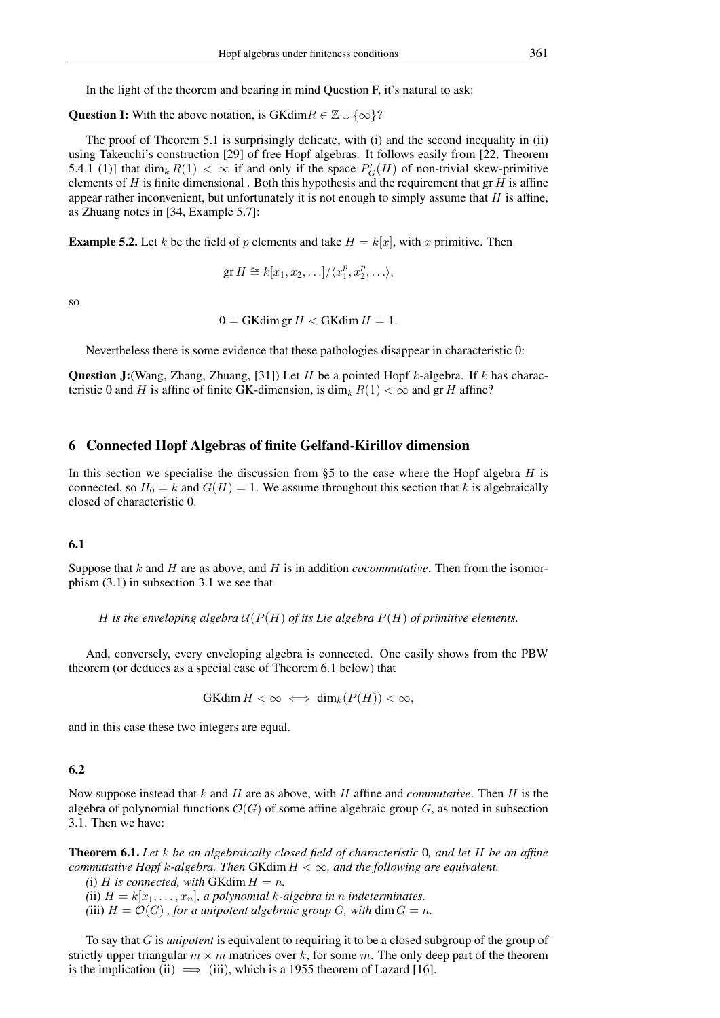In the light of the theorem and bearing in mind Question F, it's natural to ask:

Question I: With the above notation, is GKdim $R \in \mathbb{Z} \cup \{\infty\}$ ?

The proof of Theorem 5.1 is surprisingly delicate, with (i) and the second inequality in (ii) using Takeuchi's construction [29] of free Hopf algebras. It follows easily from [22, Theorem 5.4.1 (1)] that  $\dim_k R(1) < \infty$  if and only if the space  $P'_G(H)$  of non-trivial skew-primitive elements of  $H$  is finite dimensional. Both this hypothesis and the requirement that  $gr H$  is affine appear rather inconvenient, but unfortunately it is not enough to simply assume that  $H$  is affine, as Zhuang notes in [34, Example 5.7]:

**Example 5.2.** Let k be the field of p elements and take  $H = k[x]$ , with x primitive. Then

$$
\operatorname{gr} H \cong k[x_1, x_2, \ldots]/\langle x_1^p, x_2^p, \ldots \rangle,
$$

so

$$
0 = GK \dim \text{gr } H < GK \dim H = 1.
$$

Nevertheless there is some evidence that these pathologies disappear in characteristic 0:

**Question J:**(Wang, Zhang, Zhuang, [31]) Let H be a pointed Hopf k-algebra. If k has characteristic 0 and H is affine of finite GK-dimension, is  $\dim_k R(1) < \infty$  and gr H affine?

### 6 Connected Hopf Algebras of finite Gelfand-Kirillov dimension

In this section we specialise the discussion from  $\S5$  to the case where the Hopf algebra H is connected, so  $H_0 = k$  and  $G(H) = 1$ . We assume throughout this section that k is algebraically closed of characteristic 0.

# 6.1

Suppose that k and H are as above, and H is in addition *cocommutative*. Then from the isomorphism (3.1) in subsection 3.1 we see that

H is the enveloping algebra  $U(P(H))$  of its Lie algebra  $P(H)$  of primitive elements.

And, conversely, every enveloping algebra is connected. One easily shows from the PBW theorem (or deduces as a special case of Theorem 6.1 below) that

$$
GK\dim H < \infty \iff \dim_k(P(H)) < \infty,
$$

and in this case these two integers are equal.

#### 6.2

Now suppose instead that k and H are as above, with H affine and *commutative*. Then H is the algebra of polynomial functions  $\mathcal{O}(G)$  of some affine algebraic group G, as noted in subsection 3.1. Then we have:

Theorem 6.1. *Let* k *be an algebraically closed field of characteristic* 0*, and let* H *be an affine commutative Hopf* k-algebra. Then GKdim  $H < \infty$ , and the following are equivalent.

*(i) H is connected, with* GKdim  $H = n$ . *(ii)*  $H = k[x_1, \ldots, x_n]$ , a polynomial k-algebra in n indeterminates. *(iii)*  $H = \mathcal{O}(G)$ , for a unipotent algebraic group G, with dim  $G = n$ .

To say that G is *unipotent* is equivalent to requiring it to be a closed subgroup of the group of strictly upper triangular  $m \times m$  matrices over k, for some m. The only deep part of the theorem is the implication (ii)  $\implies$  (iii), which is a 1955 theorem of Lazard [16].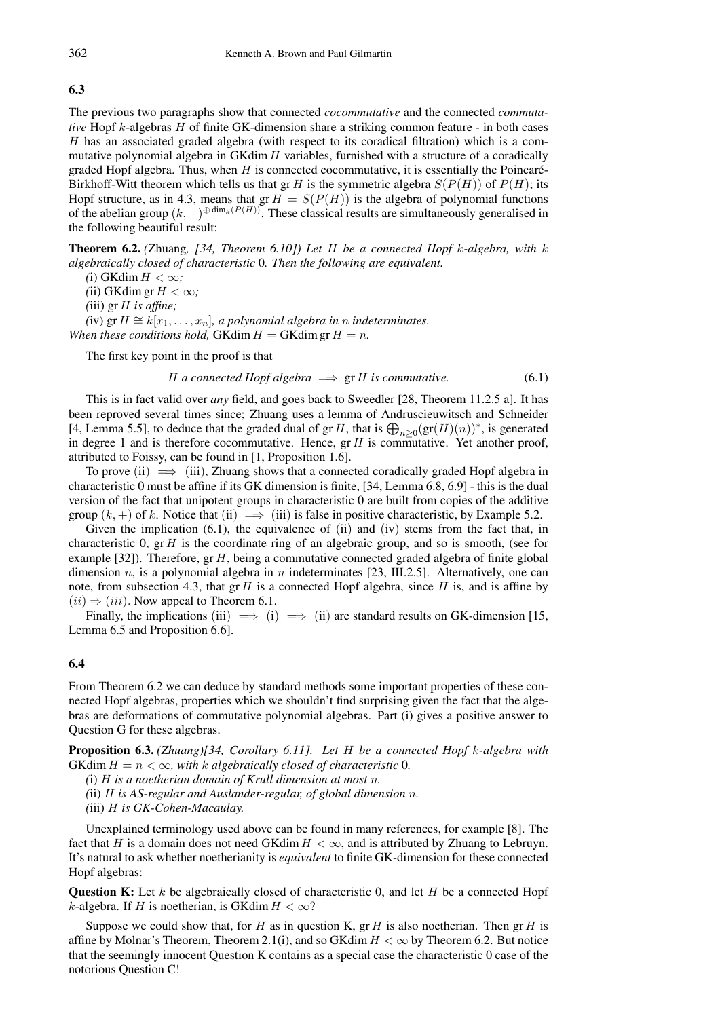# 6.3

The previous two paragraphs show that connected *cocommutative* and the connected *commutative* Hopf k-algebras H of finite GK-dimension share a striking common feature - in both cases H has an associated graded algebra (with respect to its coradical filtration) which is a commutative polynomial algebra in GKdim H variables, furnished with a structure of a coradically graded Hopf algebra. Thus, when  $H$  is connected cocommutative, it is essentially the Poincaré-Birkhoff-Witt theorem which tells us that gr H is the symmetric algebra  $S(P(H))$  of  $P(H)$ ; its Hopf structure, as in 4.3, means that  $gr H = S(P(H))$  is the algebra of polynomial functions of the abelian group  $(k, +) \oplus \dim_k(P(H))$ . These classical results are simultaneously generalised in the following beautiful result:

Theorem 6.2. *(*Zhuang*, [34, Theorem 6.10]) Let* H *be a connected Hopf* k*-algebra, with* k *algebraically closed of characteristic* 0*. Then the following are equivalent.*

 $(i)$  GKdim  $H < \infty$ ;

 $(iii)$  GKdim gr  $H < \infty$ ;

*(*iii) gr H *is affine;*

 $(iv)$  gr  $H \cong k[x_1, \ldots, x_n]$ , a polynomial algebra in *n* indeterminates. *When these conditions hold,* GKdim  $H = GK$ dim gr $H = n$ .

The first key point in the proof is that

$$
H a connected Hopf algebra \implies \text{gr } H \text{ is commutative.} \tag{6.1}
$$

This is in fact valid over *any* field, and goes back to Sweedler [28, Theorem 11.2.5 a]. It has been reproved several times since; Zhuang uses a lemma of Andruscieuwitsch and Schneider [4, Lemma 5.5], to deduce that the graded dual of gr H, that is  $\bigoplus_{n\geq 0} (\text{gr}(H)(n))^*$ , is generated in degree 1 and is therefore cocommutative. Hence,  $gr H$  is commutative. Yet another proof, attributed to Foissy, can be found in [1, Proposition 1.6].

To prove (ii)  $\implies$  (iii), Zhuang shows that a connected coradically graded Hopf algebra in characteristic 0 must be affine if its GK dimension is finite, [34, Lemma 6.8, 6.9] - this is the dual version of the fact that unipotent groups in characteristic 0 are built from copies of the additive group  $(k,+)$  of k. Notice that (ii)  $\implies$  (iii) is false in positive characteristic, by Example 5.2.

Given the implication  $(6.1)$ , the equivalence of  $(ii)$  and  $(iv)$  stems from the fact that, in characteristic 0,  $g \in H$  is the coordinate ring of an algebraic group, and so is smooth, (see for example  $[32]$ ). Therefore, gr H, being a commutative connected graded algebra of finite global dimension n, is a polynomial algebra in n indeterminates [23, III.2.5]. Alternatively, one can note, from subsection 4.3, that  $gr H$  is a connected Hopf algebra, since H is, and is affine by  $(ii) \Rightarrow (iii)$ . Now appeal to Theorem 6.1.

Finally, the implications (iii)  $\implies$  (i)  $\implies$  (ii) are standard results on GK-dimension [15, Lemma 6.5 and Proposition 6.6].

#### 6.4

From Theorem 6.2 we can deduce by standard methods some important properties of these connected Hopf algebras, properties which we shouldn't find surprising given the fact that the algebras are deformations of commutative polynomial algebras. Part (i) gives a positive answer to Question G for these algebras.

Proposition 6.3. *(Zhuang)[34, Corollary 6.11]. Let* H *be a connected Hopf* k*-algebra with* GKdim  $H = n < \infty$ , with k algebraically closed of characteristic 0.

*(*i) H *is a noetherian domain of Krull dimension at most* n*.*

*(*ii) H *is AS-regular and Auslander-regular, of global dimension* n*.*

*(*iii) H *is GK-Cohen-Macaulay.*

Unexplained terminology used above can be found in many references, for example [8]. The fact that H is a domain does not need GKdim  $H < \infty$ , and is attributed by Zhuang to Lebruyn. It's natural to ask whether noetherianity is *equivalent* to finite GK-dimension for these connected Hopf algebras:

**Question K:** Let k be algebraically closed of characteristic 0, and let  $H$  be a connected Hopf k-algebra. If H is noetherian, is GKdim  $H < \infty$ ?

Suppose we could show that, for H as in question K,  $gr H$  is also noetherian. Then  $gr H$  is affine by Molnar's Theorem, Theorem 2.1(i), and so GKdim  $H < \infty$  by Theorem 6.2. But notice that the seemingly innocent Question K contains as a special case the characteristic 0 case of the notorious Question C!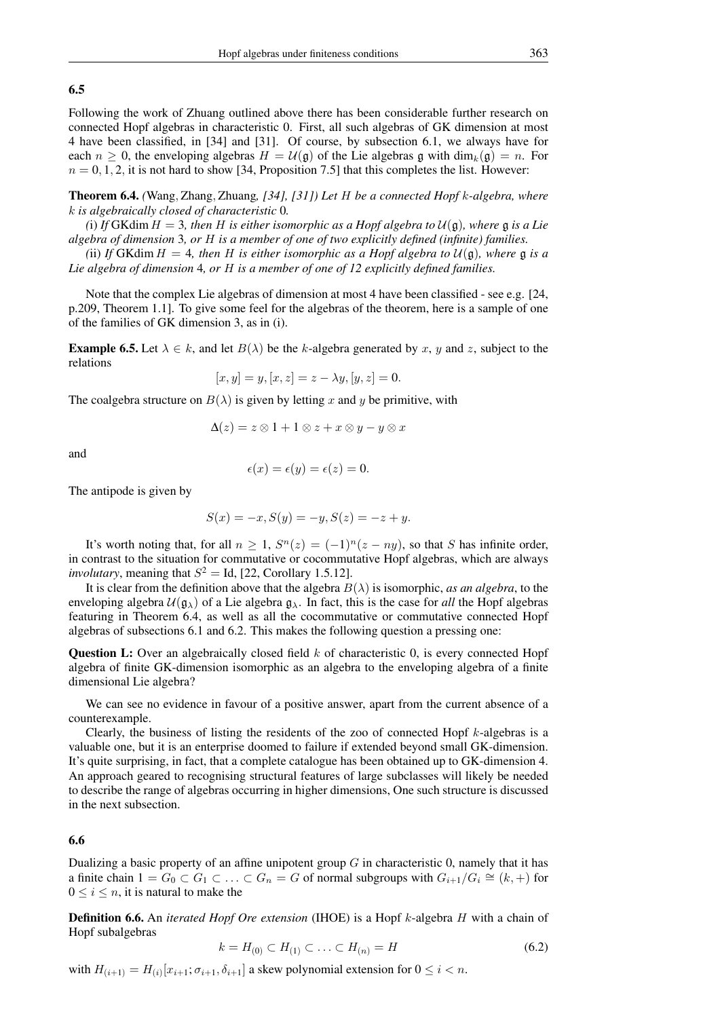# 6.5

Following the work of Zhuang outlined above there has been considerable further research on connected Hopf algebras in characteristic 0. First, all such algebras of GK dimension at most 4 have been classified, in [34] and [31]. Of course, by subsection 6.1, we always have for each  $n > 0$ , the enveloping algebras  $H = U(\mathfrak{g})$  of the Lie algebras g with  $\dim_k(\mathfrak{g}) = n$ . For  $n = 0, 1, 2$ , it is not hard to show [34, Proposition 7.5] that this completes the list. However:

Theorem 6.4. *(*Wang, Zhang, Zhuang*, [34], [31]) Let* H *be a connected Hopf* k*-algebra, where* k *is algebraically closed of characteristic* 0*.*

*(i) If* GKdim  $H = 3$ *, then*  $H$  *is either isomorphic as a Hopf algebra to*  $U(\mathfrak{g})$ *, where*  $\mathfrak{g}$  *is a Lie algebra of dimension* 3*, or* H *is a member of one of two explicitly defined (infinite) families.*

*(ii) If* GKdim  $H = 4$ *, then*  $H$  *is either isomorphic as a Hopf algebra to*  $U(\mathfrak{g})$ *, where*  $\mathfrak{g}$  *is a Lie algebra of dimension* 4*, or* H *is a member of one of 12 explicitly defined families.*

Note that the complex Lie algebras of dimension at most 4 have been classified - see e.g. [24, p.209, Theorem 1.1]. To give some feel for the algebras of the theorem, here is a sample of one of the families of GK dimension 3, as in (i).

**Example 6.5.** Let  $\lambda \in k$ , and let  $B(\lambda)$  be the k-algebra generated by x, y and z, subject to the relations

$$
[x, y] = y, [x, z] = z - \lambda y, [y, z] = 0.
$$

The coalgebra structure on  $B(\lambda)$  is given by letting x and y be primitive, with

$$
\Delta(z)=z\otimes 1+1\otimes z+x\otimes y-y\otimes x
$$

and

$$
\epsilon(x) = \epsilon(y) = \epsilon(z) = 0.
$$

The antipode is given by

$$
S(x) = -x, S(y) = -y, S(z) = -z + y.
$$

It's worth noting that, for all  $n \geq 1$ ,  $S<sup>n</sup>(z) = (-1)<sup>n</sup>(z - ny)$ , so that S has infinite order, in contrast to the situation for commutative or cocommutative Hopf algebras, which are always *involutary*, meaning that  $S^2 =$  Id, [22, Corollary 1.5.12].

It is clear from the definition above that the algebra  $B(\lambda)$  is isomorphic, *as an algebra*, to the enveloping algebra  $U(\mathfrak{g}_{\lambda})$  of a Lie algebra  $\mathfrak{g}_{\lambda}$ . In fact, this is the case for *all* the Hopf algebras featuring in Theorem 6.4, as well as all the cocommutative or commutative connected Hopf algebras of subsections 6.1 and 6.2. This makes the following question a pressing one:

**Question L:** Over an algebraically closed field  $k$  of characteristic 0, is every connected Hopf algebra of finite GK-dimension isomorphic as an algebra to the enveloping algebra of a finite dimensional Lie algebra?

We can see no evidence in favour of a positive answer, apart from the current absence of a counterexample.

Clearly, the business of listing the residents of the zoo of connected Hopf  $k$ -algebras is a valuable one, but it is an enterprise doomed to failure if extended beyond small GK-dimension. It's quite surprising, in fact, that a complete catalogue has been obtained up to GK-dimension 4. An approach geared to recognising structural features of large subclasses will likely be needed to describe the range of algebras occurring in higher dimensions, One such structure is discussed in the next subsection.

#### 6.6

Dualizing a basic property of an affine unipotent group  $G$  in characteristic 0, namely that it has a finite chain  $1 = G_0 \subset G_1 \subset \ldots \subset G_n = G$  of normal subgroups with  $G_{i+1}/G_i \cong (k, +)$  for  $0 \leq i \leq n$ , it is natural to make the

Definition 6.6. An *iterated Hopf Ore extension* (IHOE) is a Hopf k-algebra H with a chain of Hopf subalgebras

$$
k = H_{(0)} \subset H_{(1)} \subset \ldots \subset H_{(n)} = H \tag{6.2}
$$

with  $H_{(i+1)} = H_{(i)}[x_{i+1}; \sigma_{i+1}, \delta_{i+1}]$  a skew polynomial extension for  $0 \le i < n$ .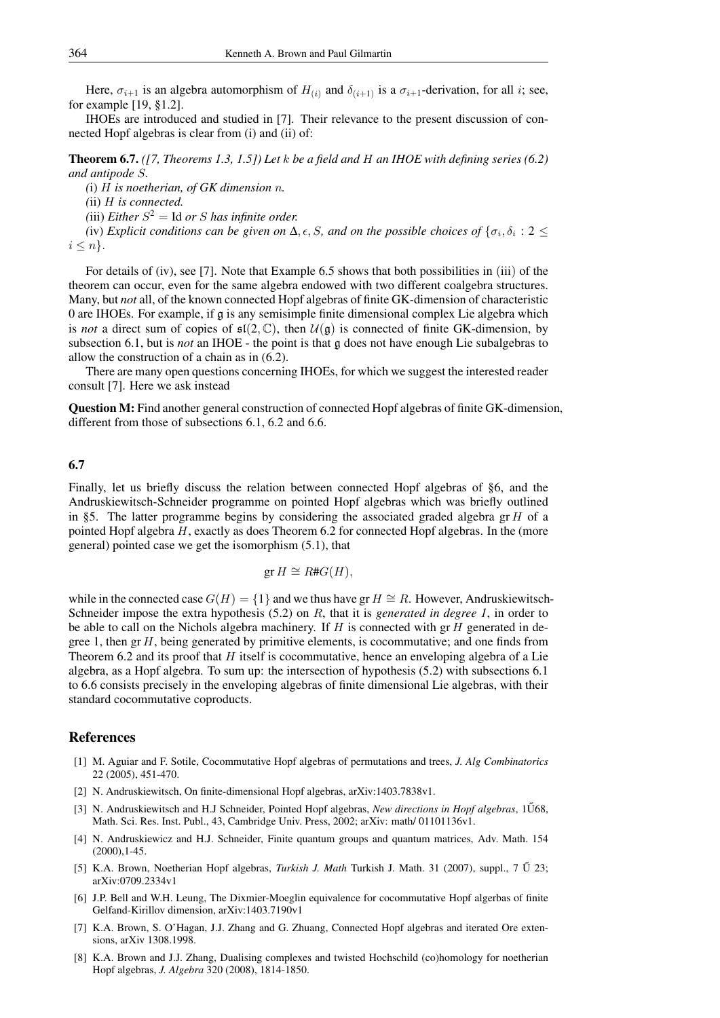Here,  $\sigma_{i+1}$  is an algebra automorphism of  $H_{(i)}$  and  $\delta_{(i+1)}$  is a  $\sigma_{i+1}$ -derivation, for all i; see, for example [19, §1.2].

IHOEs are introduced and studied in [7]. Their relevance to the present discussion of connected Hopf algebras is clear from (i) and (ii) of:

Theorem 6.7. *([7, Theorems 1.3, 1.5]) Let* k *be a field and* H *an IHOE with defining series (6.2) and antipode* S*.*

*(*i) H *is noetherian, of GK dimension* n*.*

*(*ii) H *is connected.*

(iii) *Either*  $S^2$  = Id *or S* has infinite order.

(iv) *Explicit conditions can be given on*  $\Delta$ ,  $\epsilon$ , *S*, and on the possible choices of  $\{\sigma_i, \delta_i : 2 \leq \epsilon\}$  $i \leq n$ .

For details of (iv), see [7]. Note that Example 6.5 shows that both possibilities in (iii) of the theorem can occur, even for the same algebra endowed with two different coalgebra structures. Many, but *not* all, of the known connected Hopf algebras of finite GK-dimension of characteristic 0 are IHOEs. For example, if  $\alpha$  is any semisimple finite dimensional complex Lie algebra which is *not* a direct sum of copies of  $\mathfrak{sl}(2,\mathbb{C})$ , then  $\mathcal{U}(\mathfrak{g})$  is connected of finite GK-dimension, by subsection 6.1, but is *not* an IHOE - the point is that g does not have enough Lie subalgebras to allow the construction of a chain as in (6.2).

There are many open questions concerning IHOEs, for which we suggest the interested reader consult [7]. Here we ask instead

Question M: Find another general construction of connected Hopf algebras of finite GK-dimension, different from those of subsections 6.1, 6.2 and 6.6.

# 6.7

Finally, let us briefly discuss the relation between connected Hopf algebras of §6, and the Andruskiewitsch-Schneider programme on pointed Hopf algebras which was briefly outlined in §5. The latter programme begins by considering the associated graded algebra gr  $H$  of a pointed Hopf algebra  $H$ , exactly as does Theorem 6.2 for connected Hopf algebras. In the (more general) pointed case we get the isomorphism (5.1), that

$$
\operatorname{gr} H \cong R \# G(H),
$$

while in the connected case  $G(H) = \{1\}$  and we thus have gr  $H \cong R$ . However, Andruskiewitsch-Schneider impose the extra hypothesis (5.2) on R, that it is *generated in degree 1*, in order to be able to call on the Nichols algebra machinery. If  $H$  is connected with gr  $H$  generated in degree 1, then  $gr H$ , being generated by primitive elements, is cocommutative; and one finds from Theorem 6.2 and its proof that  $H$  itself is cocommutative, hence an enveloping algebra of a Lie algebra, as a Hopf algebra. To sum up: the intersection of hypothesis (5.2) with subsections 6.1 to 6.6 consists precisely in the enveloping algebras of finite dimensional Lie algebras, with their standard cocommutative coproducts.

#### References

- [1] M. Aguiar and F. Sotile, Cocommutative Hopf algebras of permutations and trees, *J. Alg Combinatorics* 22 (2005), 451-470.
- [2] N. Andruskiewitsch, On finite-dimensional Hopf algebras, arXiv:1403.7838v1.
- [3] N. Andruskiewitsch and H.J Schneider, Pointed Hopf algebras, *New directions in Hopf algebras*, 1U68, Math. Sci. Res. Inst. Publ., 43, Cambridge Univ. Press, 2002; arXiv: math/ 01101136v1.
- [4] N. Andruskiewicz and H.J. Schneider, Finite quantum groups and quantum matrices, Adv. Math. 154  $(2000), 1-45.$
- [5] K.A. Brown, Noetherian Hopf algebras, *Turkish J. Math* Turkish J. Math. 31 (2007), suppl., 7 U 23; ˝ arXiv:0709.2334v1
- [6] J.P. Bell and W.H. Leung, The Dixmier-Moeglin equivalence for cocommutative Hopf algerbas of finite Gelfand-Kirillov dimension, arXiv:1403.7190v1
- [7] K.A. Brown, S. O'Hagan, J.J. Zhang and G. Zhuang, Connected Hopf algebras and iterated Ore extensions, arXiv 1308.1998.
- [8] K.A. Brown and J.J. Zhang, Dualising complexes and twisted Hochschild (co)homology for noetherian Hopf algebras, *J. Algebra* 320 (2008), 1814-1850.